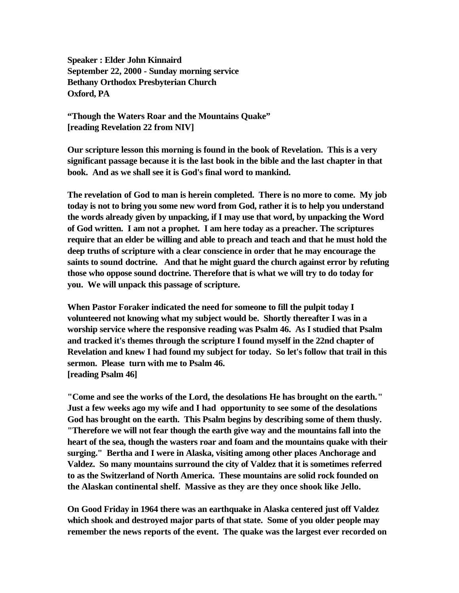**Speaker : Elder John Kinnaird September 22, 2000 - Sunday morning service Bethany Orthodox Presbyterian Church Oxford, PA**

**"Though the Waters Roar and the Mountains Quake" [reading Revelation 22 from NIV]**

**Our scripture lesson this morning is found in the book of Revelation. This is a very significant passage because it is the last book in the bible and the last chapter in that book. And as we shall see it is God's final word to mankind.** 

**The revelation of God to man is herein completed. There is no more to come. My job today is not to bring you some new word from God, rather it is to help you understand the words already given by unpacking, if I may use that word, by unpacking the Word of God written. I am not a prophet. I am here today as a preacher. The scriptures require that an elder be willing and able to preach and teach and that he must hold the deep truths of scripture with a clear conscience in order that he may encourage the saints to sound doctrine. And that he might guard the church against error by refuting those who oppose sound doctrine. Therefore that is what we will try to do today for you. We will unpack this passage of scripture.** 

**When Pastor Foraker indicated the need for someone to fill the pulpit today I volunteered not knowing what my subject would be. Shortly thereafter I was in a worship service where the responsive reading was Psalm 46. As I studied that Psalm and tracked it's themes through the scripture I found myself in the 22nd chapter of Revelation and knew I had found my subject for today. So let's follow that trail in this sermon. Please turn with me to Psalm 46. [reading Psalm 46]**

**"Come and see the works of the Lord, the desolations He has brought on the earth." Just a few weeks ago my wife and I had opportunity to see some of the desolations God has brought on the earth. This Psalm begins by describing some of them thusly. "Therefore we will not fear though the earth give way and the mountains fall into the heart of the sea, though the wasters roar and foam and the mountains quake with their surging." Bertha and I were in Alaska, visiting among other places Anchorage and Valdez. So many mountains surround the city of Valdez that it is sometimes referred to as the Switzerland of North America. These mountains are solid rock founded on the Alaskan continental shelf. Massive as they are they once shook like Jello.** 

**On Good Friday in 1964 there was an earthquake in Alaska centered just off Valdez which shook and destroyed major parts of that state. Some of you older people may remember the news reports of the event. The quake was the largest ever recorded on**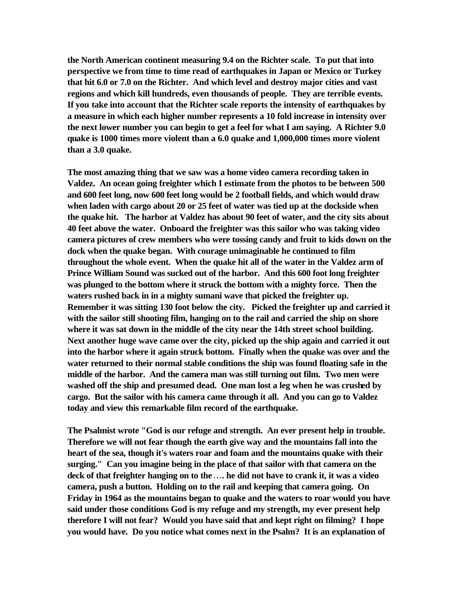**the North American continent measuring 9.4 on the Richter scale. To put that into perspective we from time to time read of earthquakes in Japan or Mexico or Turkey that hit 6.0 or 7.0 on the Richter. And which level and destroy major cities and vast regions and which kill hundreds, even thousands of people. They are terrible events. If you take into account that the Richter scale reports the intensity of earthquakes by a measure in which each higher number represents a 10 fold increase in intensity over the next lower number you can begin to get a feel for what I am saying. A Richter 9.0 quake is 1000 times more violent than a 6.0 quake and 1,000,000 times more violent than a 3.0 quake.** 

**The most amazing thing that we saw was a home video camera recording taken in Valdez. An ocean going freighter which I estimate from the photos to be between 500 and 600 feet long, now 600 feet long would be 2 football fields, and which would draw when laden with cargo about 20 or 25 feet of water was tied up at the dockside when the quake hit. The harbor at Valdez has about 90 feet of water, and the city sits about 40 feet above the water. Onboard the freighter was this sailor who was taking video camera pictures of crew members who were tossing candy and fruit to kids down on the dock when the quake began. With courage unimaginable he continued to film throughout the whole event. When the quake hit all of the water in the Valdez arm of Prince William Sound was sucked out of the harbor. And this 600 foot long freighter was plunged to the bottom where it struck the bottom with a mighty force. Then the waters rushed back in in a mighty sumani wave that picked the freighter up. Remember it was sitting 130 foot below the city. Picked the freighter up and carried it with the sailor still shooting film, hanging on to the rail and carried the ship on shore where it was sat down in the middle of the city near the 14th street school building. Next another huge wave came over the city, picked up the ship again and carried it out into the harbor where it again struck bottom. Finally when the quake was over and the water returned to their normal stable conditions the ship was found floating safe in the middle of the harbor. And the camera man was still turning out film. Two men were washed off the ship and presumed dead. One man lost a leg when he was crushed by cargo. But the sailor with his camera came through it all. And you can go to Valdez today and view this remarkable film record of the earthquake.** 

**The Psalmist wrote "God is our refuge and strength. An ever present help in trouble. Therefore we will not fear though the earth give way and the mountains fall into the heart of the sea, though it's waters roar and foam and the mountains quake with their surging." Can you imagine being in the place of that sailor with that camera on the deck of that freighter hanging on to the¼. he did not have to crank it, it was a video camera, push a button. Holding on to the rail and keeping that camera going. On Friday in 1964 as the mountains began to quake and the waters to roar would you have said under those conditions God is my refuge and my strength, my ever present help therefore I will not fear? Would you have said that and kept right on filming? I hope you would have. Do you notice what comes next in the Psalm? It is an explanation of**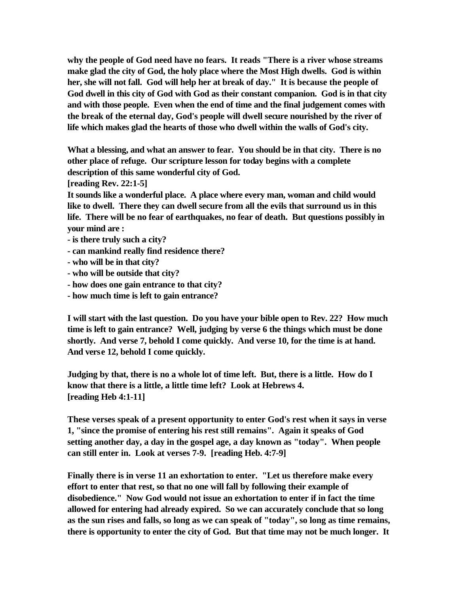**why the people of God need have no fears. It reads "There is a river whose streams make glad the city of God, the holy place where the Most High dwells. God is within her, she will not fall. God will help her at break of day." It is because the people of God dwell in this city of God with God as their constant companion. God is in that city and with those people. Even when the end of time and the final judgement comes with the break of the eternal day, God's people will dwell secure nourished by the river of life which makes glad the hearts of those who dwell within the walls of God's city.** 

**What a blessing, and what an answer to fear. You should be in that city. There is no other place of refuge. Our scripture lesson for today begins with a complete description of this same wonderful city of God.** 

**[reading Rev. 22:1-5]**

**It sounds like a wonderful place. A place where every man, woman and child would like to dwell. There they can dwell secure from all the evils that surround us in this life. There will be no fear of earthquakes, no fear of death. But questions possibly in your mind are :**

- **is there truly such a city?**
- **can mankind really find residence there?**
- **who will be in that city?**
- **who will be outside that city?**
- **how does one gain entrance to that city?**
- **how much time is left to gain entrance?**

**I will start with the last question. Do you have your bible open to Rev. 22? How much time is left to gain entrance? Well, judging by verse 6 the things which must be done shortly. And verse 7, behold I come quickly. And verse 10, for the time is at hand. And verse 12, behold I come quickly.** 

**Judging by that, there is no a whole lot of time left. But, there is a little. How do I know that there is a little, a little time left? Look at Hebrews 4. [reading Heb 4:1-11]**

**These verses speak of a present opportunity to enter God's rest when it says in verse 1, "since the promise of entering his rest still remains". Again it speaks of God setting another day, a day in the gospel age, a day known as "today". When people can still enter in. Look at verses 7-9. [reading Heb. 4:7-9]**

**Finally there is in verse 11 an exhortation to enter. "Let us therefore make every effort to enter that rest, so that no one will fall by following their example of disobedience." Now God would not issue an exhortation to enter if in fact the time allowed for entering had already expired. So we can accurately conclude that so long as the sun rises and falls, so long as we can speak of "today", so long as time remains, there is opportunity to enter the city of God. But that time may not be much longer. It**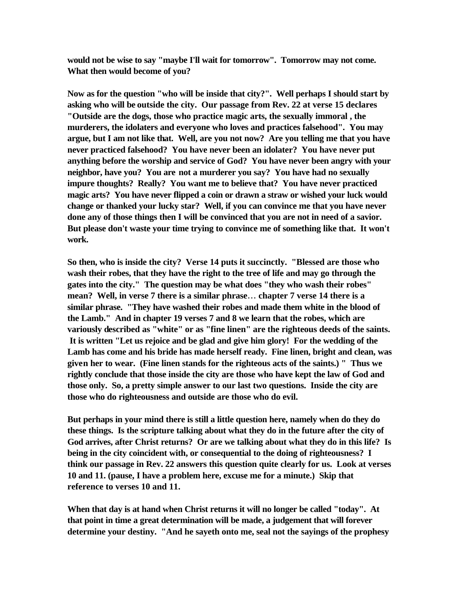**would not be wise to say "maybe I'll wait for tomorrow". Tomorrow may not come. What then would become of you?** 

**Now as for the question "who will be inside that city?". Well perhaps I should start by asking who will be outside the city. Our passage from Rev. 22 at verse 15 declares "Outside are the dogs, those who practice magic arts, the sexually immoral , the murderers, the idolaters and everyone who loves and practices falsehood". You may argue, but I am not like that. Well, are you not now? Are you telling me that you have never practiced falsehood? You have never been an idolater? You have never put anything before the worship and service of God? You have never been angry with your neighbor, have you? You are not a murderer you say? You have had no sexually impure thoughts? Really? You want me to believe that? You have never practiced magic arts? You have never flipped a coin or drawn a straw or wished your luck would change or thanked your lucky star? Well, if you can convince me that you have never done any of those things then I will be convinced that you are not in need of a savior. But please don't waste your time trying to convince me of something like that. It won't work.** 

**So then, who is inside the city? Verse 14 puts it succinctly. "Blessed are those who wash their robes, that they have the right to the tree of life and may go through the gates into the city." The question may be what does "they who wash their robes" mean? Well, in verse 7 there is a similar phrase¼ chapter 7 verse 14 there is a similar phrase. "They have washed their robes and made them white in the blood of the Lamb." And in chapter 19 verses 7 and 8 we learn that the robes, which are variously described as "white" or as "fine linen" are the righteous deeds of the saints. It is written "Let us rejoice and be glad and give him glory! For the wedding of the Lamb has come and his bride has made herself ready. Fine linen, bright and clean, was given her to wear. (Fine linen stands for the righteous acts of the saints.) " Thus we rightly conclude that those inside the city are those who have kept the law of God and those only. So, a pretty simple answer to our last two questions. Inside the city are those who do righteousness and outside are those who do evil.** 

**But perhaps in your mind there is still a little question here, namely when do they do these things. Is the scripture talking about what they do in the future after the city of God arrives, after Christ returns? Or are we talking about what they do in this life? Is being in the city coincident with, or consequential to the doing of righteousness? I think our passage in Rev. 22 answers this question quite clearly for us. Look at verses 10 and 11. (pause, I have a problem here, excuse me for a minute.) Skip that reference to verses 10 and 11.** 

**When that day is at hand when Christ returns it will no longer be called "today". At that point in time a great determination will be made, a judgement that will forever determine your destiny. "And he sayeth onto me, seal not the sayings of the prophesy**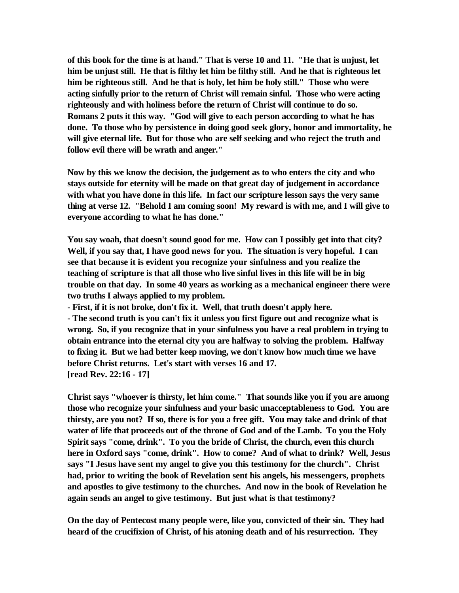**of this book for the time is at hand." That is verse 10 and 11. "He that is unjust, let him be unjust still. He that is filthy let him be filthy still. And he that is righteous let him be righteous still. And he that is holy, let him be holy still." Those who were acting sinfully prior to the return of Christ will remain sinful. Those who were acting righteously and with holiness before the return of Christ will continue to do so. Romans 2 puts it this way. "God will give to each person according to what he has done. To those who by persistence in doing good seek glory, honor and immortality, he will give eternal life. But for those who are self seeking and who reject the truth and follow evil there will be wrath and anger."** 

**Now by this we know the decision, the judgement as to who enters the city and who stays outside for eternity will be made on that great day of judgement in accordance with what you have done in this life. In fact our scripture lesson says the very same thing at verse 12. "Behold I am coming soon! My reward is with me, and I will give to everyone according to what he has done."** 

**You say woah, that doesn't sound good for me. How can I possibly get into that city? Well, if you say that, I have good news for you. The situation is very hopeful. I can see that because it is evident you recognize your sinfulness and you realize the teaching of scripture is that all those who live sinful lives in this life will be in big trouble on that day. In some 40 years as working as a mechanical engineer there were two truths I always applied to my problem.** 

**- First, if it is not broke, don't fix it. Well, that truth doesn't apply here. - The second truth is you can't fix it unless you first figure out and recognize what is wrong. So, if you recognize that in your sinfulness you have a real problem in trying to obtain entrance into the eternal city you are halfway to solving the problem. Halfway to fixing it. But we had better keep moving, we don't know how much time we have before Christ returns. Let's start with verses 16 and 17. [read Rev. 22:16 - 17]**

**Christ says "whoever is thirsty, let him come." That sounds like you if you are among those who recognize your sinfulness and your basic unacceptableness to God. You are thirsty, are you not? If so, there is for you a free gift. You may take and drink of that water of life that proceeds out of the throne of God and of the Lamb. To you the Holy Spirit says "come, drink". To you the bride of Christ, the church, even this church here in Oxford says "come, drink". How to come? And of what to drink? Well, Jesus says "I Jesus have sent my angel to give you this testimony for the church". Christ had, prior to writing the book of Revelation sent his angels, his messengers, prophets and apostles to give testimony to the churches. And now in the book of Revelation he again sends an angel to give testimony. But just what is that testimony?** 

**On the day of Pentecost many people were, like you, convicted of their sin. They had heard of the crucifixion of Christ, of his atoning death and of his resurrection. They**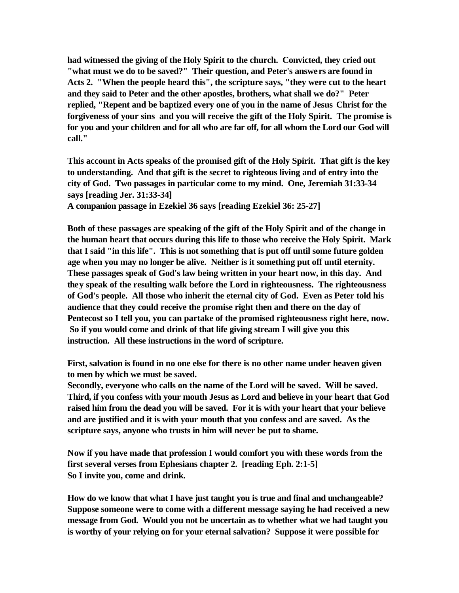**had witnessed the giving of the Holy Spirit to the church. Convicted, they cried out "what must we do to be saved?" Their question, and Peter's answers are found in Acts 2. "When the people heard this", the scripture says, "they were cut to the heart and they said to Peter and the other apostles, brothers, what shall we do?" Peter replied, "Repent and be baptized every one of you in the name of Jesus Christ for the forgiveness of your sins and you will receive the gift of the Holy Spirit. The promise is for you and your children and for all who are far off, for all whom the Lord our God will call."** 

**This account in Acts speaks of the promised gift of the Holy Spirit. That gift is the key to understanding. And that gift is the secret to righteous living and of entry into the city of God. Two passages in particular come to my mind. One, Jeremiah 31:33-34 says [reading Jer. 31:33-34]**

**A companion passage in Ezekiel 36 says [reading Ezekiel 36: 25-27]** 

**Both of these passages are speaking of the gift of the Holy Spirit and of the change in the human heart that occurs during this life to those who receive the Holy Spirit. Mark that I said "in this life". This is not something that is put off until some future golden age when you may no longer be alive. Neither is it something put off until eternity. These passages speak of God's law being written in your heart now, in this day. And they speak of the resulting walk before the Lord in righteousness. The righteousness of God's people. All those who inherit the eternal city of God. Even as Peter told his audience that they could receive the promise right then and there on the day of Pentecost so I tell you, you can partake of the promised righteousness right here, now. So if you would come and drink of that life giving stream I will give you this instruction. All these instructions in the word of scripture.**

**First, salvation is found in no one else for there is no other name under heaven given to men by which we must be saved.**

**Secondly, everyone who calls on the name of the Lord will be saved. Will be saved. Third, if you confess with your mouth Jesus as Lord and believe in your heart that God raised him from the dead you will be saved. For it is with your heart that your believe and are justified and it is with your mouth that you confess and are saved. As the scripture says, anyone who trusts in him will never be put to shame.** 

**Now if you have made that profession I would comfort you with these words from the first several verses from Ephesians chapter 2. [reading Eph. 2:1-5] So I invite you, come and drink.**

**How do we know that what I have just taught you is true and final and unchangeable? Suppose someone were to come with a different message saying he had received a new message from God. Would you not be uncertain as to whether what we had taught you is worthy of your relying on for your eternal salvation? Suppose it were possible for**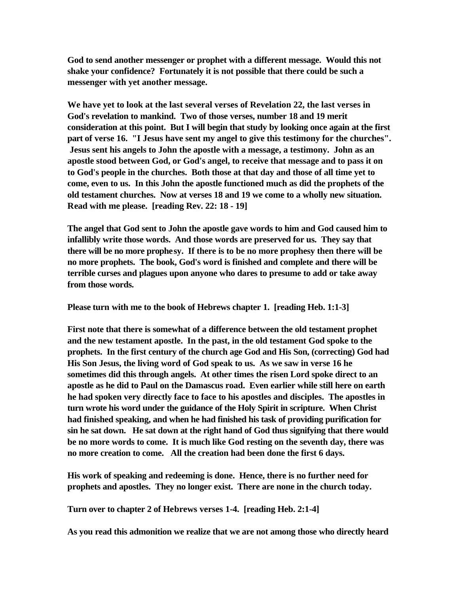**God to send another messenger or prophet with a different message. Would this not shake your confidence? Fortunately it is not possible that there could be such a messenger with yet another message.** 

**We have yet to look at the last several verses of Revelation 22, the last verses in God's revelation to mankind. Two of those verses, number 18 and 19 merit consideration at this point. But I will begin that study by looking once again at the first part of verse 16. "I Jesus have sent my angel to give this testimony for the churches". Jesus sent his angels to John the apostle with a message, a testimony. John as an apostle stood between God, or God's angel, to receive that message and to pass it on to God's people in the churches. Both those at that day and those of all time yet to come, even to us. In this John the apostle functioned much as did the prophets of the old testament churches. Now at verses 18 and 19 we come to a wholly new situation. Read with me please. [reading Rev. 22: 18 - 19]**

**The angel that God sent to John the apostle gave words to him and God caused him to infallibly write those words. And those words are preserved for us. They say that there will be no more prophesy. If there is to be no more prophesy then there will be no more prophets. The book, God's word is finished and complete and there will be terrible curses and plagues upon anyone who dares to presume to add or take away from those words.** 

**Please turn with me to the book of Hebrews chapter 1. [reading Heb. 1:1-3]**

**First note that there is somewhat of a difference between the old testament prophet and the new testament apostle. In the past, in the old testament God spoke to the prophets. In the first century of the church age God and His Son, (correcting) God had His Son Jesus, the living word of God speak to us. As we saw in verse 16 he sometimes did this through angels. At other times the risen Lord spoke direct to an apostle as he did to Paul on the Damascus road. Even earlier while still here on earth he had spoken very directly face to face to his apostles and disciples. The apostles in turn wrote his word under the guidance of the Holy Spirit in scripture. When Christ had finished speaking, and when he had finished his task of providing purification for sin he sat down. He sat down at the right hand of God thus signifying that there would be no more words to come. It is much like God resting on the seventh day, there was no more creation to come. All the creation had been done the first 6 days.** 

**His work of speaking and redeeming is done. Hence, there is no further need for prophets and apostles. They no longer exist. There are none in the church today.** 

**Turn over to chapter 2 of Hebrews verses 1-4. [reading Heb. 2:1-4]**

**As you read this admonition we realize that we are not among those who directly heard**